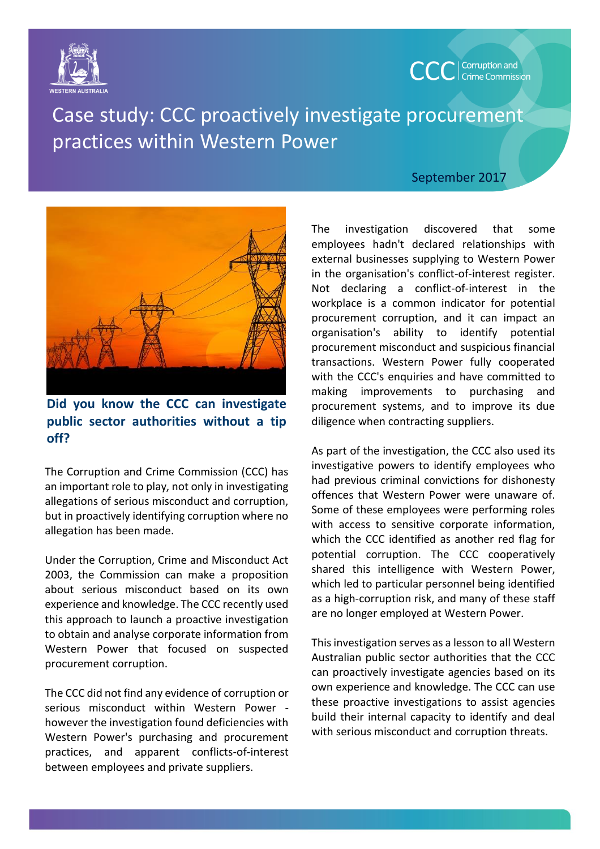

## Case study: CCC proactively investigate procurement practices within Western Power

## September 2017

**CCC** Crime Commission



**Did you know the CCC can investigate public sector authorities without a tip off?**

The Corruption and Crime Commission (CCC) has an important role to play, not only in investigating allegations of serious misconduct and corruption, but in proactively identifying corruption where no allegation has been made.

Under the Corruption, Crime and Misconduct Act 2003, the Commission can make a proposition about serious misconduct based on its own experience and knowledge. The CCC recently used this approach to launch a proactive investigation to obtain and analyse corporate information from Western Power that focused on suspected procurement corruption.

The CCC did not find any evidence of corruption or serious misconduct within Western Power however the investigation found deficiencies with Western Power's purchasing and procurement practices, and apparent conflicts-of-interest between employees and private suppliers.

The investigation discovered that some employees hadn't declared relationships with external businesses supplying to Western Power in the organisation's conflict-of-interest register. Not declaring a conflict-of-interest in the workplace is a common indicator for potential procurement corruption, and it can impact an organisation's ability to identify potential procurement misconduct and suspicious financial transactions. Western Power fully cooperated with the CCC's enquiries and have committed to making improvements to purchasing and procurement systems, and to improve its due diligence when contracting suppliers.

As part of the investigation, the CCC also used its investigative powers to identify employees who had previous criminal convictions for dishonesty offences that Western Power were unaware of. Some of these employees were performing roles with access to sensitive corporate information, which the CCC identified as another red flag for potential corruption. The CCC cooperatively shared this intelligence with Western Power, which led to particular personnel being identified as a high-corruption risk, and many of these staff are no longer employed at Western Power.

This investigation serves as a lesson to all Western Australian public sector authorities that the CCC can proactively investigate agencies based on its own experience and knowledge. The CCC can use these proactive investigations to assist agencies build their internal capacity to identify and deal with serious misconduct and corruption threats.

|<br>|-